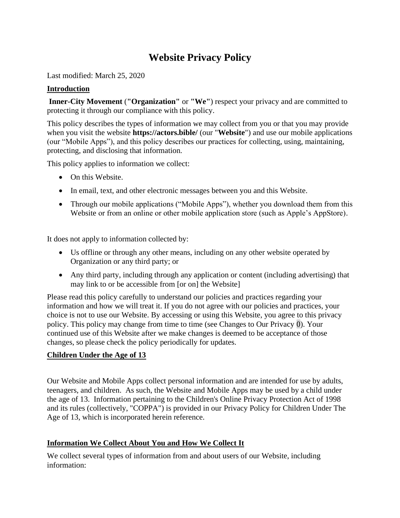# **Website Privacy Policy**

Last modified: March 25, 2020

## **Introduction**

**Inner-City Movement** (**"Organization"** or **"We"**) respect your privacy and are committed to protecting it through our compliance with this policy.

This policy describes the types of information we may collect from you or that you may provide when you visit the website **https://actors.bible/** (our "**Website**") and use our mobile applications (our "Mobile Apps"), and this policy describes our practices for collecting, using, maintaining, protecting, and disclosing that information.

This policy applies to information we collect:

- On this Website.
- In email, text, and other electronic messages between you and this Website.
- Through our mobile applications ("Mobile Apps"), whether you download them from this Website or from an online or other mobile application store (such as Apple's AppStore).

It does not apply to information collected by:

- Us offline or through any other means, including on any other website operated by Organization or any third party; or
- Any third party, including through any application or content (including advertising) that may link to or be accessible from [or on] the Website]

Please read this policy carefully to understand our policies and practices regarding your information and how we will treat it. If you do not agree with our policies and practices, your choice is not to use our Website. By accessing or using this Website, you agree to this privacy policy. This policy may change from time to time (see Changes to Our Privacy [0\)](#page-4-0). Your continued use of this Website after we make changes is deemed to be acceptance of those changes, so please check the policy periodically for updates.

# **Children Under the Age of 13**

Our Website and Mobile Apps collect personal information and are intended for use by adults, teenagers, and children. As such, the Website and Mobile Apps may be used by a child under the age of 13. Information pertaining to the Children's Online Privacy Protection Act of 1998 and its rules (collectively, "COPPA") is provided in our Privacy Policy for Children Under The Age of 13, which is incorporated herein reference.

# **Information We Collect About You and How We Collect It**

We collect several types of information from and about users of our Website, including information: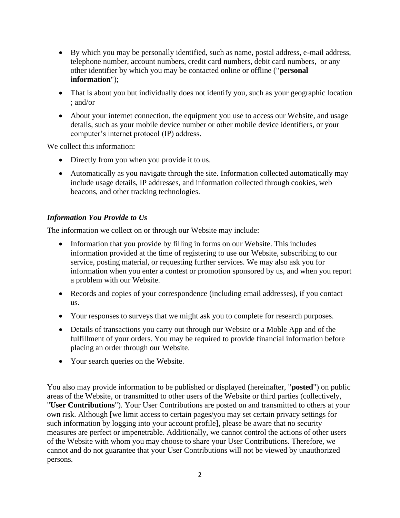- By which you may be personally identified, such as name, postal address, e-mail address, telephone number, account numbers, credit card numbers, debit card numbers, or any other identifier by which you may be contacted online or offline ("**personal information**");
- That is about you but individually does not identify you, such as your geographic location ; and/or
- About your internet connection, the equipment you use to access our Website, and usage details, such as your mobile device number or other mobile device identifiers, or your computer's internet protocol (IP) address.

We collect this information:

- Directly from you when you provide it to us.
- Automatically as you navigate through the site. Information collected automatically may include usage details, IP addresses, and information collected through cookies, web beacons, and other tracking technologies.

## *Information You Provide to Us*

The information we collect on or through our Website may include:

- Information that you provide by filling in forms on our Website. This includes information provided at the time of registering to use our Website, subscribing to our service, posting material, or requesting further services. We may also ask you for information when you enter a contest or promotion sponsored by us, and when you report a problem with our Website.
- Records and copies of your correspondence (including email addresses), if you contact us.
- Your responses to surveys that we might ask you to complete for research purposes.
- Details of transactions you carry out through our Website or a Moble App and of the fulfillment of your orders. You may be required to provide financial information before placing an order through our Website.
- Your search queries on the Website.

You also may provide information to be published or displayed (hereinafter, "**posted**") on public areas of the Website, or transmitted to other users of the Website or third parties (collectively, "**User Contributions**"). Your User Contributions are posted on and transmitted to others at your own risk. Although [we limit access to certain pages/you may set certain privacy settings for such information by logging into your account profile], please be aware that no security measures are perfect or impenetrable. Additionally, we cannot control the actions of other users of the Website with whom you may choose to share your User Contributions. Therefore, we cannot and do not guarantee that your User Contributions will not be viewed by unauthorized persons.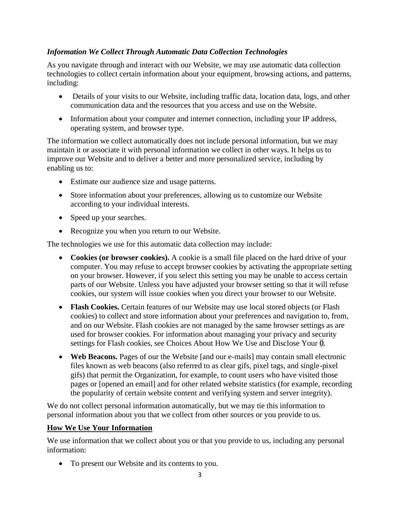## *Information We Collect Through Automatic Data Collection Technologies*

As you navigate through and interact with our Website, we may use automatic data collection technologies to collect certain information about your equipment, browsing actions, and patterns, including:

- Details of your visits to our Website, including traffic data, location data, logs, and other communication data and the resources that you access and use on the Website.
- Information about your computer and internet connection, including your IP address, operating system, and browser type.

The information we collect automatically does not include personal information, but we may maintain it or associate it with personal information we collect in other ways. It helps us to improve our Website and to deliver a better and more personalized service, including by enabling us to:

- Estimate our audience size and usage patterns.
- Store information about your preferences, allowing us to customize our Website according to your individual interests.
- Speed up your searches.
- Recognize you when you return to our Website.

The technologies we use for this automatic data collection may include:

- **Cookies (or browser cookies).** A cookie is a small file placed on the hard drive of your computer. You may refuse to accept browser cookies by activating the appropriate setting on your browser. However, if you select this setting you may be unable to access certain parts of our Website. Unless you have adjusted your browser setting so that it will refuse cookies, our system will issue cookies when you direct your browser to our Website.
- **Flash Cookies.** Certain features of our Website may use local stored objects (or Flash cookies) to collect and store information about your preferences and navigation to, from, and on our Website. Flash cookies are not managed by the same browser settings as are used for browser cookies. For information about managing your privacy and security settings for Flash cookies, see Choices About How We Use and Disclose Your [0.](#page-4-1)
- **Web Beacons.** Pages of our the Website [and our e-mails] may contain small electronic files known as web beacons (also referred to as clear gifs, pixel tags, and single-pixel gifs) that permit the Organization, for example, to count users who have visited those pages or [opened an email] and for other related website statistics (for example, recording the popularity of certain website content and verifying system and server integrity).

We do not collect personal information automatically, but we may tie this information to personal information about you that we collect from other sources or you provide to us.

#### **How We Use Your Information**

We use information that we collect about you or that you provide to us, including any personal information:

• To present our Website and its contents to you.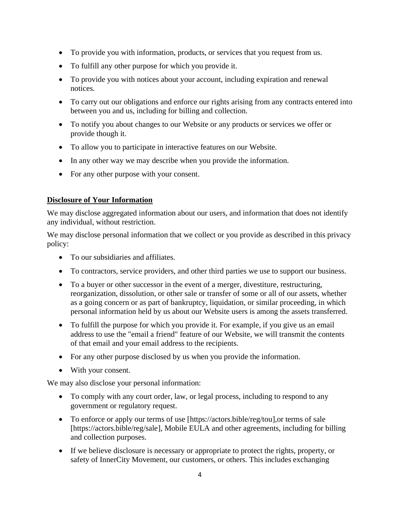- To provide you with information, products, or services that you request from us.
- To fulfill any other purpose for which you provide it.
- To provide you with notices about your account, including expiration and renewal notices.
- To carry out our obligations and enforce our rights arising from any contracts entered into between you and us, including for billing and collection.
- To notify you about changes to our Website or any products or services we offer or provide though it.
- To allow you to participate in interactive features on our Website.
- In any other way we may describe when you provide the information.
- For any other purpose with your consent.

## **Disclosure of Your Information**

We may disclose aggregated information about our users, and information that does not identify any individual, without restriction.

We may disclose personal information that we collect or you provide as described in this privacy policy:

- To our subsidiaries and affiliates.
- To contractors, service providers, and other third parties we use to support our business.
- To a buyer or other successor in the event of a merger, divestiture, restructuring, reorganization, dissolution, or other sale or transfer of some or all of our assets, whether as a going concern or as part of bankruptcy, liquidation, or similar proceeding, in which personal information held by us about our Website users is among the assets transferred.
- To fulfill the purpose for which you provide it. For example, if you give us an email address to use the "email a friend" feature of our Website, we will transmit the contents of that email and your email address to the recipients.
- For any other purpose disclosed by us when you provide the information.
- With your consent.

We may also disclose your personal information:

- To comply with any court order, law, or legal process, including to respond to any government or regulatory request.
- To enforce or apply our terms of use [https://actors.bible/reg/tou], or terms of sale [https://actors.bible/reg/sale], Mobile EULA and other agreements, including for billing and collection purposes.
- If we believe disclosure is necessary or appropriate to protect the rights, property, or safety of InnerCity Movement, our customers, or others. This includes exchanging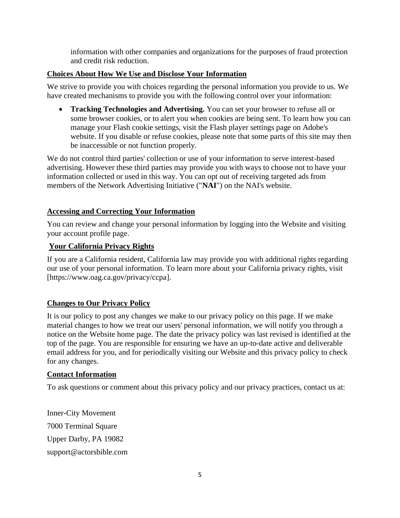information with other companies and organizations for the purposes of fraud protection and credit risk reduction.

## <span id="page-4-1"></span>**Choices About How We Use and Disclose Your Information**

We strive to provide you with choices regarding the personal information you provide to us. We have created mechanisms to provide you with the following control over your information:

• **Tracking Technologies and Advertising.** You can set your browser to refuse all or some browser cookies, or to alert you when cookies are being sent. To learn how you can manage your Flash cookie settings, visit the Flash player settings page on Adobe's website. If you disable or refuse cookies, please note that some parts of this site may then be inaccessible or not function properly.

We do not control third parties' collection or use of your information to serve interest-based advertising. However these third parties may provide you with ways to choose not to have your information collected or used in this way. You can opt out of receiving targeted ads from members of the Network Advertising Initiative ("**NAI**") on the NAI's website.

#### **Accessing and Correcting Your Information**

You can review and change your personal information by logging into the Website and visiting your account profile page.

#### **Your California Privacy Rights**

If you are a California resident, California law may provide you with additional rights regarding our use of your personal information. To learn more about your California privacy rights, visit [\[https://www.oag.ca.gov/privacy/ccpa\]](https://www.oag.ca.gov/privacy/ccpa).

#### <span id="page-4-0"></span>**Changes to Our Privacy Policy**

It is our policy to post any changes we make to our privacy policy on this page. If we make material changes to how we treat our users' personal information, we will notify you through a notice on the Website home page. The date the privacy policy was last revised is identified at the top of the page. You are responsible for ensuring we have an up-to-date active and deliverable email address for you, and for periodically visiting our Website and this privacy policy to check for any changes.

#### **Contact Information**

To ask questions or comment about this privacy policy and our privacy practices, contact us at:

Inner-City Movement 7000 Terminal Square Upper Darby, PA 19082 support@actorsbible.com